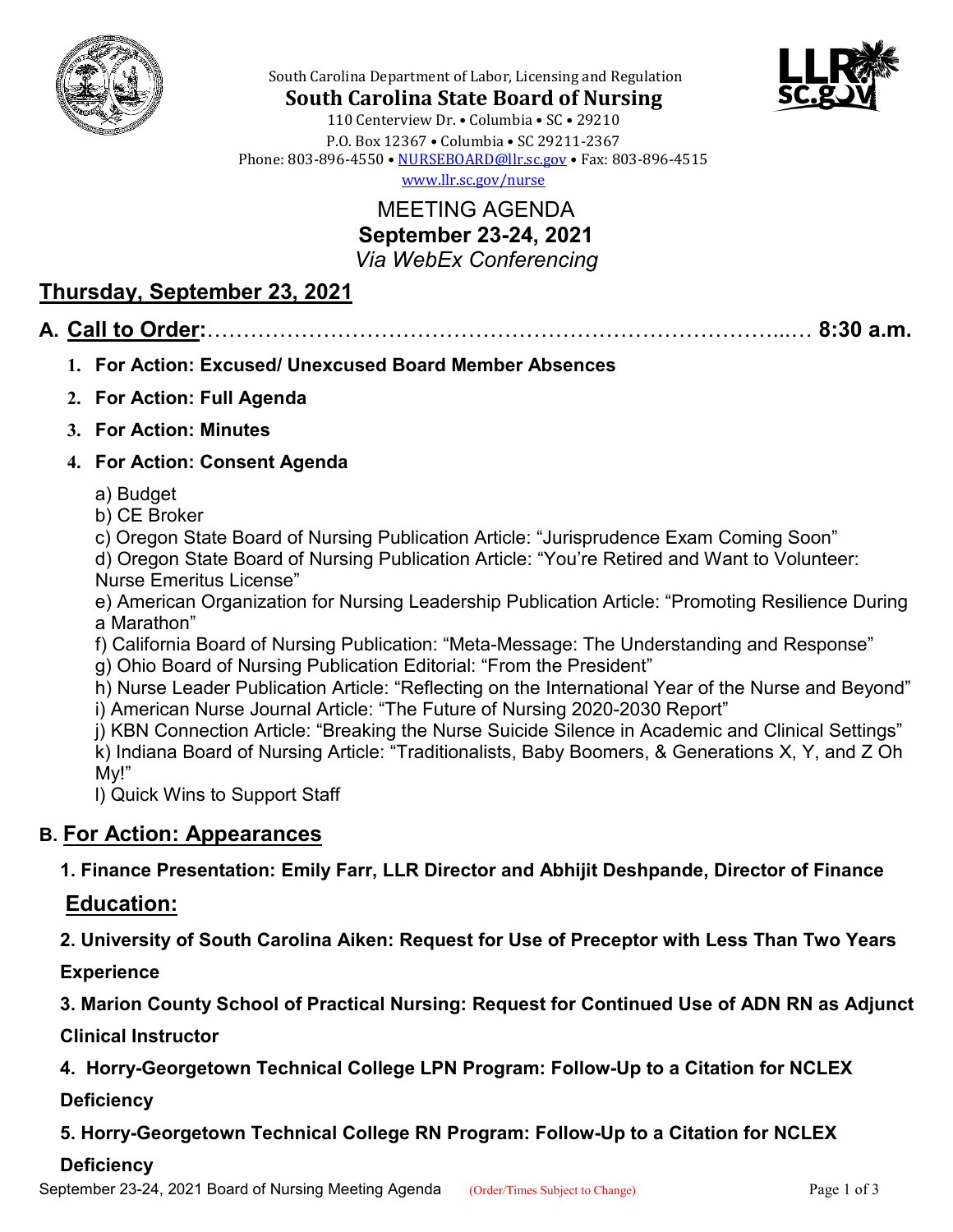



South Carolina Department of Labor, Licensing and Regulation **South Carolina State Board of Nursing**

110 Centerview Dr. • Columbia • SC • 29210 P.O. Box 12367 • Columbia • SC 29211-2367 Phone: 803-896-4550 • [NURSEBOARD@llr.sc.gov](mailto:contactllr@llr.sc.gov) • Fax: 803-896-4515

[www.llr.sc.gov/nurse](http://www.llr.sc.gov/nurse)

MEETING AGENDA **September 23-24, 2021** *Via WebEx Conferencing*

# **Thursday, September 23, 2021**

#### **A. Call to Order:**……………………………………………………………………...… **8:30 a.m.**

- **1. For Action: Excused/ Unexcused Board Member Absences**
- **2. For Action: Full Agenda**
- **3. For Action: Minutes**

#### **4. For Action: Consent Agenda**

- a) Budget
- b) CE Broker
- c) Oregon State Board of Nursing Publication Article: "Jurisprudence Exam Coming Soon"

d) Oregon State Board of Nursing Publication Article: "You're Retired and Want to Volunteer: Nurse Emeritus License"

e) American Organization for Nursing Leadership Publication Article: "Promoting Resilience During a Marathon"

- f) California Board of Nursing Publication: "Meta-Message: The Understanding and Response"
- g) Ohio Board of Nursing Publication Editorial: "From the President"

h) Nurse Leader Publication Article: "Reflecting on the International Year of the Nurse and Beyond" i) American Nurse Journal Article: "The Future of Nursing 2020-2030 Report"

j) KBN Connection Article: "Breaking the Nurse Suicide Silence in Academic and Clinical Settings" k) Indiana Board of Nursing Article: "Traditionalists, Baby Boomers, & Generations X, Y, and Z Oh My!"

l) Quick Wins to Support Staff

### **B. For Action: Appearances**

 **1. Finance Presentation: Emily Farr, LLR Director and Abhijit Deshpande, Director of Finance**

### **Education:**

 **2. University of South Carolina Aiken: Request for Use of Preceptor with Less Than Two Years** 

 **Experience**

 **3. Marion County School of Practical Nursing: Request for Continued Use of ADN RN as Adjunct** 

 **Clinical Instructor**

 **4. Horry-Georgetown Technical College LPN Program: Follow-Up to a Citation for NCLEX** 

 **Deficiency**

 **5. Horry-Georgetown Technical College RN Program: Follow-Up to a Citation for NCLEX** 

#### **Deficiency**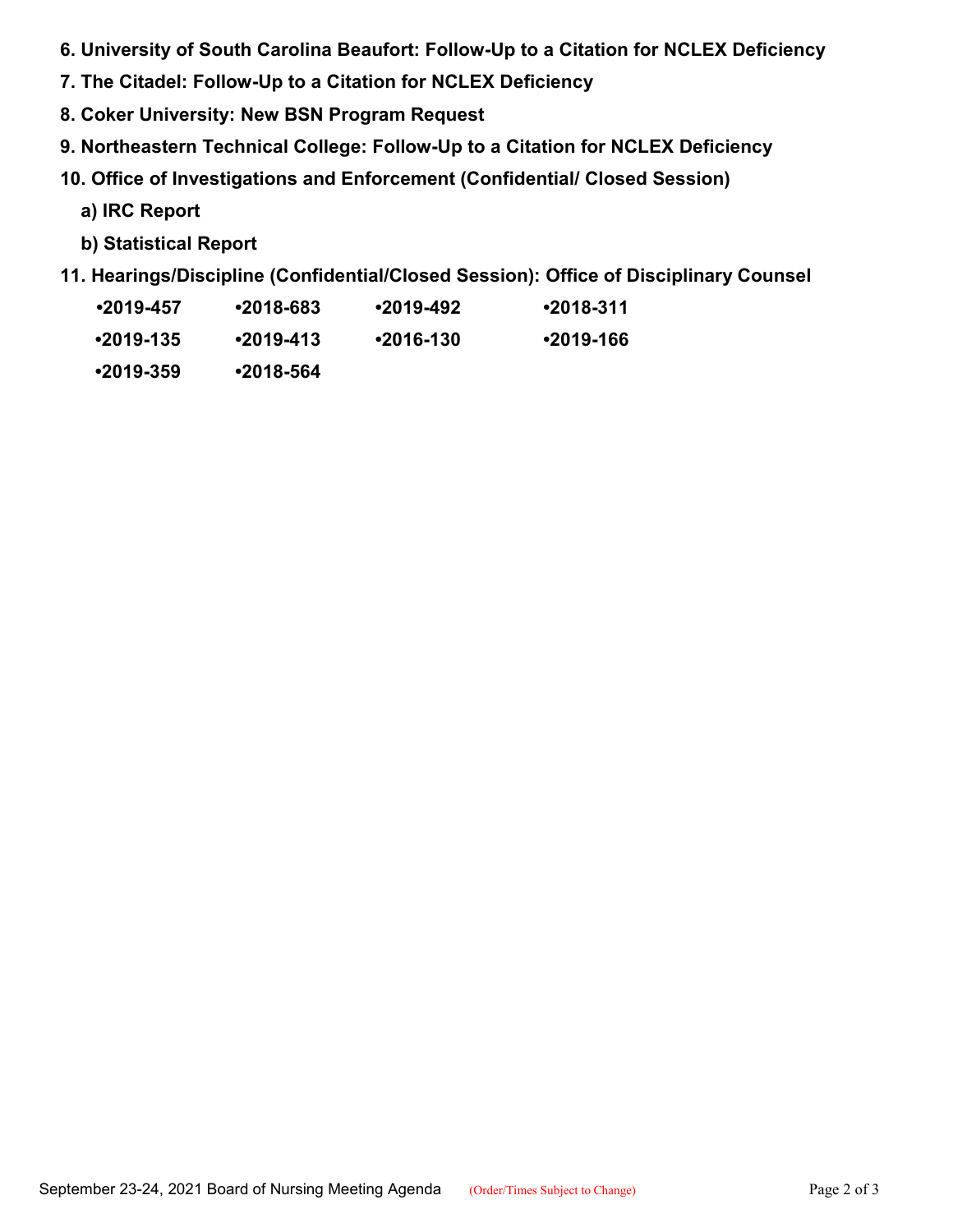- **6. University of South Carolina Beaufort: Follow-Up to a Citation for NCLEX Deficiency**
- **7. The Citadel: Follow-Up to a Citation for NCLEX Deficiency**
- **8. Coker University: New BSN Program Request**
- **9. Northeastern Technical College: Follow-Up to a Citation for NCLEX Deficiency**
- **10. Office of Investigations and Enforcement (Confidential/ Closed Session)**
	- **a) IRC Report**
	- **b) Statistical Report**
- **11. Hearings/Discipline (Confidential/Closed Session): Office of Disciplinary Counsel** 
	- **•2019-457 •2018-683 •2019-492 •2018-311**
	- **•2019-135 •2019-413 •2016-130 •2019-166**
	- **•2019-359 •2018-564**